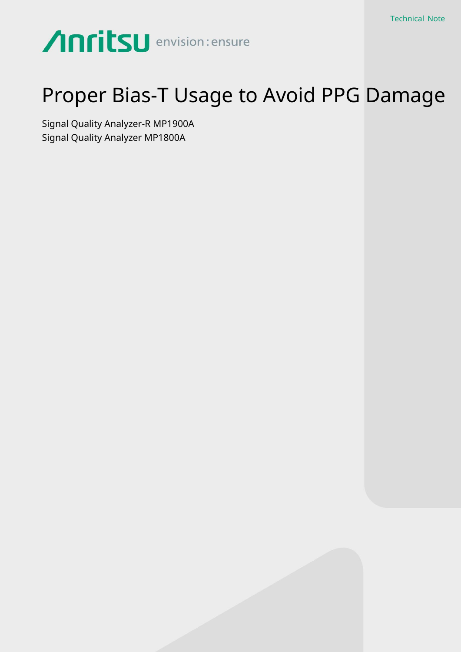# Anritsu envision: ensure

## Proper Bias-T Usage to Avoid PPG Damage

Signal Quality Analyzer-R MP1900A Signal Quality Analyzer MP1800A

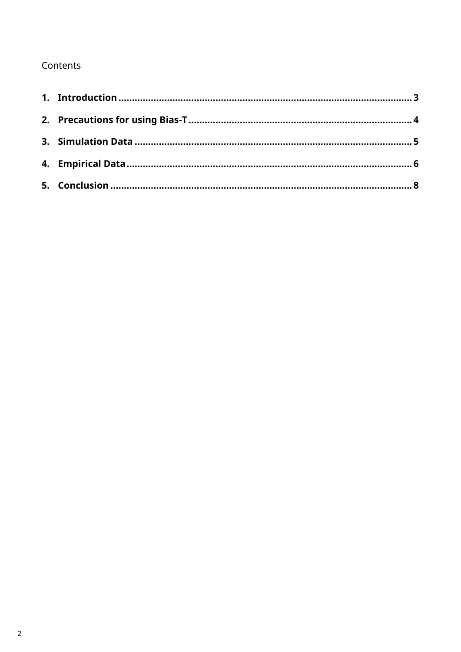### Contents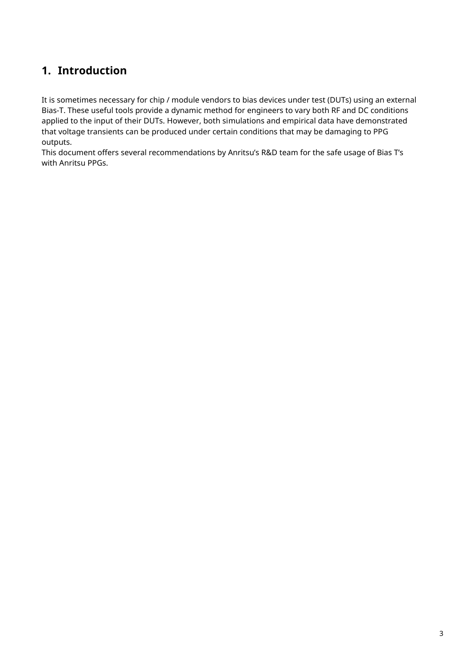## <span id="page-2-0"></span>**1. Introduction**

It is sometimes necessary for chip / module vendors to bias devices under test (DUTs) using an external Bias-T. These useful tools provide a dynamic method for engineers to vary both RF and DC conditions applied to the input of their DUTs. However, both simulations and empirical data have demonstrated that voltage transients can be produced under certain conditions that may be damaging to PPG outputs.

This document offers several recommendations by Anritsu's R&D team for the safe usage of Bias T's with Anritsu PPGs.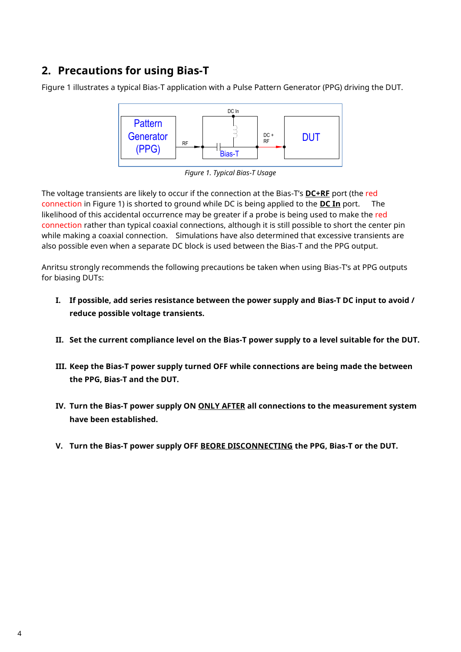## <span id="page-3-0"></span>**2. Precautions for using Bias-T**

Figure 1 illustrates a typical Bias-T application with a Pulse Pattern Generator (PPG) driving the DUT.





The voltage transients are likely to occur if the connection at the Bias-T's **DC+RF** port (the red connection in Figure 1) is shorted to ground while DC is being applied to the **DC In** port. The likelihood of this accidental occurrence may be greater if a probe is being used to make the red connection rather than typical coaxial connections, although it is still possible to short the center pin while making a coaxial connection. Simulations have also determined that excessive transients are also possible even when a separate DC block is used between the Bias-T and the PPG output.

Anritsu strongly recommends the following precautions be taken when using Bias-T's at PPG outputs for biasing DUTs:

- **I. If possible, add series resistance between the power supply and Bias-T DC input to avoid / reduce possible voltage transients.**
- **II. Set the current compliance level on the Bias-T power supply to a level suitable for the DUT.**
- **III. Keep the Bias-T power supply turned OFF while connections are being made the between the PPG, Bias-T and the DUT.**
- **IV. Turn the Bias-T power supply ON ONLY AFTER all connections to the measurement system have been established.**
- **V. Turn the Bias-T power supply OFF BEORE DISCONNECTING the PPG, Bias-T or the DUT.**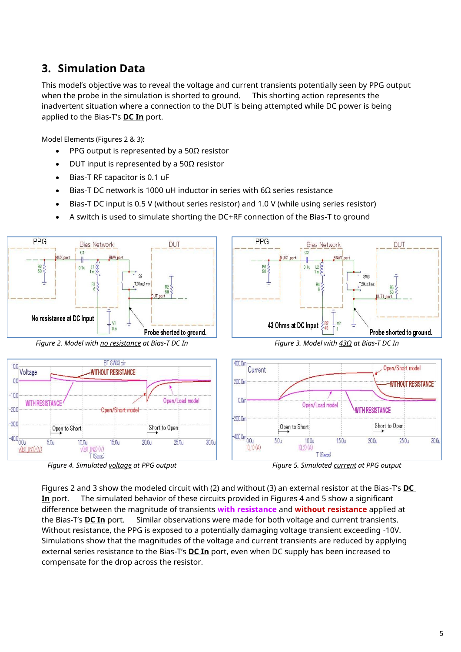## <span id="page-4-0"></span>**3. Simulation Data**

This model's objective was to reveal the voltage and current transients potentially seen by PPG output when the probe in the simulation is shorted to ground. This shorting action represents the inadvertent situation where a connection to the DUT is being attempted while DC power is being applied to the Bias-T's **DC In** port.

Model Elements (Figures 2 & 3):

- PPG output is represented by a  $50\Omega$  resistor
- DUT input is represented by a 50Ω resistor
- Bias-T RF capacitor is 0.1 uF
- Bias-T DC network is 1000 uH inductor in series with 6Ω series resistance
- Bias-T DC input is 0.5 V (without series resistor) and 1.0 V (while using series resistor)
- A switch is used to simulate shorting the DC+RF connection of the Bias-T to ground



*Figure 4. Simulated voltage at PPG output Figure 5. Simulated current at PPG output*



Figures 2 and 3 show the modeled circuit with (2) and without (3) an external resistor at the Bias-T's **DC In** port. The simulated behavior of these circuits provided in Figures 4 and 5 show a significant difference between the magnitude of transients **with resistance** and **without resistance** applied at the Bias-T's **DC In** port. Similar observations were made for both voltage and current transients. Without resistance, the PPG is exposed to a potentially damaging voltage transient exceeding -10V. Simulations show that the magnitudes of the voltage and current transients are reduced by applying external series resistance to the Bias-T's **DC In** port, even when DC supply has been increased to compensate for the drop across the resistor.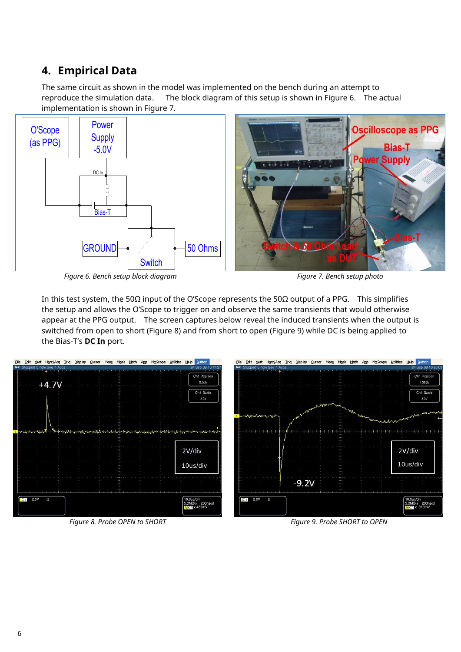## <span id="page-5-0"></span>**4. Empirical Data**

The same circuit as shown in the model was implemented on the bench during an attempt to reproduce the simulation data. The block diagram of this setup is shown in Figure 6. The actual implementation is shown in Figure 7.



*Figure 6. Bench setup block diagram Figure 7. Bench setup photo*

In this test system, the 50 $\Omega$  input of the O'Scope represents the 50 $\Omega$  output of a PPG. This simplifies the setup and allows the O'Scope to trigger on and observe the same transients that would otherwise appear at the PPG output. The screen captures below reveal the induced transients when the output is switched from open to short (Figure 8) and from short to open (Figure 9) while DC is being applied to the Bias-T's **DC In** port.



*Figure 8. Probe OPEN to SHORT Figure 9. Probe SHORT to OPEN*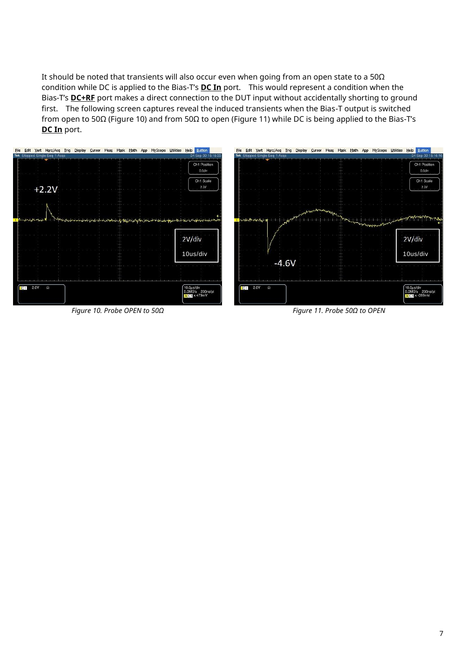It should be noted that transients will also occur even when going from an open state to a 50Ω condition while DC is applied to the Bias-T's **DC In** port. This would represent a condition when the Bias-T's **DC+RF** port makes a direct connection to the DUT input without accidentally shorting to ground first. The following screen captures reveal the induced transients when the Bias-T output is switched from open to 50Ω (Figure 10) and from 50Ω to open (Figure 11) while DC is being applied to the Bias-T's **DC In** port.



*Figure 10. Probe OPEN to 50Ω Figure 11. Probe 50Ω to OPEN*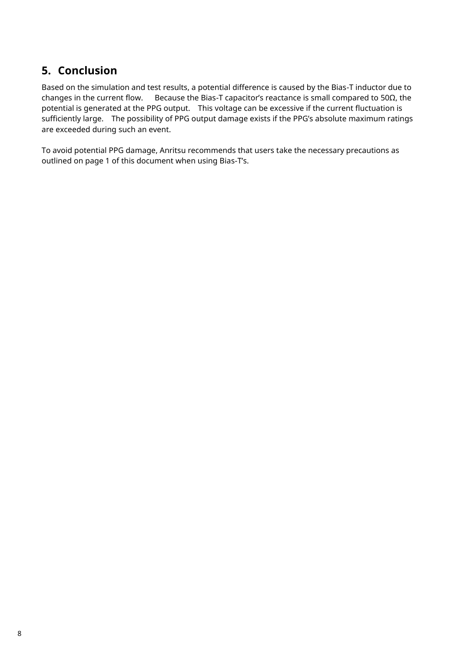### <span id="page-7-0"></span>**5. Conclusion**

Based on the simulation and test results, a potential difference is caused by the Bias-T inductor due to changes in the current flow. Because the Bias-T capacitor's reactance is small compared to 50Ω, the potential is generated at the PPG output. This voltage can be excessive if the current fluctuation is sufficiently large. The possibility of PPG output damage exists if the PPG's absolute maximum ratings are exceeded during such an event.

To avoid potential PPG damage, Anritsu recommends that users take the necessary precautions as outlined on page 1 of this document when using Bias-T's.